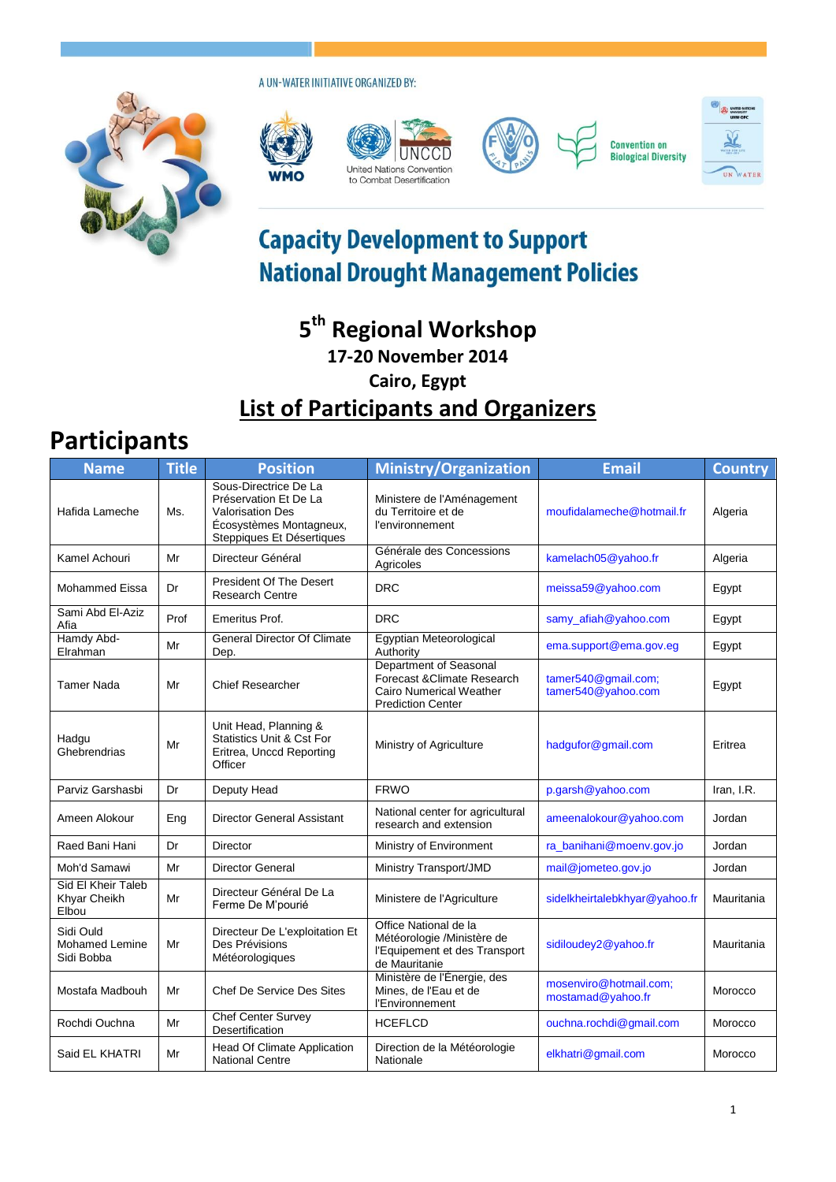A UN-WATER INITIATIVE ORGANIZED BY:











## **Capacity Development to Support National Drought Management Policies**

## **5 th Regional Workshop 17-20 November 2014 Cairo, Egypt List of Participants and Organizers**

## **Participants**

| <b>Name</b>                                      | <b>Title</b> | <b>Position</b>                                                                                                                   | <b>Ministry/Organization</b>                                                                                        | <b>Email</b>                                | <b>Country</b> |
|--------------------------------------------------|--------------|-----------------------------------------------------------------------------------------------------------------------------------|---------------------------------------------------------------------------------------------------------------------|---------------------------------------------|----------------|
| Hafida Lameche                                   | Ms.          | Sous-Directrice De La<br>Préservation Et De La<br><b>Valorisation Des</b><br>Écosystèmes Montagneux,<br>Steppiques Et Désertiques | Ministere de l'Aménagement<br>du Territoire et de<br>l'environnement                                                | moufidalameche@hotmail.fr                   | Algeria        |
| Kamel Achouri                                    | Mr           | Directeur Général                                                                                                                 | Générale des Concessions<br>Agricoles                                                                               | kamelach05@yahoo.fr                         | Algeria        |
| Mohammed Eissa                                   | Dr           | President Of The Desert<br><b>Research Centre</b>                                                                                 | <b>DRC</b>                                                                                                          | meissa59@yahoo.com                          | Egypt          |
| Sami Abd El-Aziz<br>Afia                         | Prof         | Emeritus Prof.                                                                                                                    | <b>DRC</b>                                                                                                          | samy_afiah@yahoo.com                        | Egypt          |
| Hamdy Abd-<br>Elrahman                           | Mr           | <b>General Director Of Climate</b><br>Dep.                                                                                        | Egyptian Meteorological<br>Authority                                                                                | ema.support@ema.gov.eg                      | Egypt          |
| Tamer Nada                                       | Mr           | <b>Chief Researcher</b>                                                                                                           | Department of Seasonal<br>Forecast & Climate Research<br><b>Cairo Numerical Weather</b><br><b>Prediction Center</b> | tamer540@gmail.com;<br>tamer540@yahoo.com   | Egypt          |
| Hadgu<br>Ghebrendrias                            | Mr           | Unit Head, Planning &<br><b>Statistics Unit &amp; Cst For</b><br>Eritrea, Unccd Reporting<br>Officer                              | Ministry of Agriculture                                                                                             | hadgufor@gmail.com                          | Eritrea        |
| Parviz Garshasbi                                 | Dr           | Deputy Head                                                                                                                       | <b>FRWO</b>                                                                                                         | p.garsh@yahoo.com                           | Iran, I.R.     |
| Ameen Alokour                                    | Eng          | Director General Assistant                                                                                                        | National center for agricultural<br>research and extension                                                          | ameenalokour@yahoo.com                      | Jordan         |
| Raed Bani Hani                                   | Dr           | <b>Director</b>                                                                                                                   | Ministry of Environment                                                                                             | ra_banihani@moenv.gov.jo                    | Jordan         |
| Moh'd Samawi                                     | Mr           | <b>Director General</b>                                                                                                           | Ministry Transport/JMD                                                                                              | mail@jometeo.gov.jo                         | Jordan         |
| Sid El Kheir Taleb<br>Khyar Cheikh<br>Elbou      | Mr           | Directeur Général De La<br>Ferme De M'pourié                                                                                      | Ministere de l'Agriculture                                                                                          | sidelkheirtalebkhyar@yahoo.fr               | Mauritania     |
| Sidi Ould<br><b>Mohamed Lemine</b><br>Sidi Bobba | Mr           | Directeur De L'exploitation Et<br>Des Prévisions<br>Météorologiques                                                               | Office National de la<br>Météorologie /Ministère de<br>l'Equipement et des Transport<br>de Mauritanie               | sidiloudey2@yahoo.fr                        | Mauritania     |
| Mostafa Madbouh                                  | Mr           | Chef De Service Des Sites                                                                                                         | Ministère de l'Énergie, des<br>Mines, de l'Eau et de<br>l'Environnement                                             | mosenviro@hotmail.com;<br>mostamad@yahoo.fr | Morocco        |
| Rochdi Ouchna                                    | Mr           | <b>Chef Center Survey</b><br>Desertification                                                                                      | <b>HCEFLCD</b>                                                                                                      | ouchna.rochdi@gmail.com                     | Morocco        |
| Said EL KHATRI                                   | Mr           | <b>Head Of Climate Application</b><br><b>National Centre</b>                                                                      | Direction de la Météorologie<br>Nationale                                                                           | elkhatri@gmail.com                          | Morocco        |